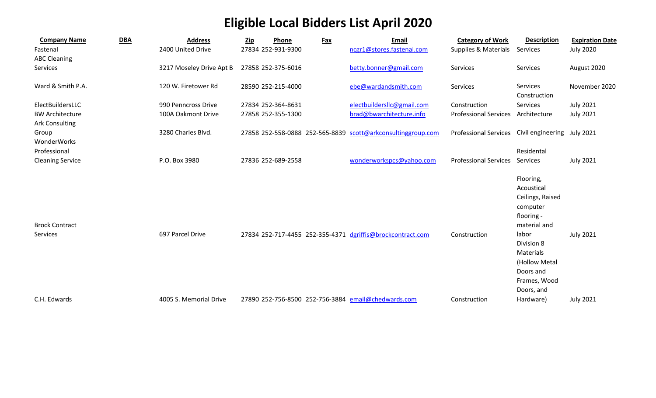## **Eligible Local Bidders List April 2020**

| <b>Company Name</b>                             | <b>DBA</b> | <b>Address</b>           | Zip | Phone              | <b>Fax</b> | <b>Email</b>                                                 | <b>Category of Work</b>      | <b>Description</b>                                                                           | <b>Expiration Date</b> |
|-------------------------------------------------|------------|--------------------------|-----|--------------------|------------|--------------------------------------------------------------|------------------------------|----------------------------------------------------------------------------------------------|------------------------|
| Fastenal<br><b>ABC Cleaning</b>                 |            | 2400 United Drive        |     | 27834 252-931-9300 |            | ncgr1@stores.fastenal.com                                    | Supplies & Materials         | Services                                                                                     | <b>July 2020</b>       |
| Services                                        |            | 3217 Moseley Drive Apt B |     | 27858 252-375-6016 |            | betty.bonner@gmail.com                                       | Services                     | Services                                                                                     | August 2020            |
| Ward & Smith P.A.                               |            | 120 W. Firetower Rd      |     | 28590 252-215-4000 |            | ebe@wardandsmith.com                                         | Services                     | <b>Services</b><br>Construction                                                              | November 2020          |
| ElectBuildersLLC                                |            | 990 Penncross Drive      |     | 27834 252-364-8631 |            | electbuildersllc@gmail.com                                   | Construction                 | Services                                                                                     | <b>July 2021</b>       |
| <b>BW Architecture</b><br><b>Ark Consulting</b> |            | 100A Oakmont Drive       |     | 27858 252-355-1300 |            | brad@bwarchitecture.info                                     | <b>Professional Services</b> | Architecture                                                                                 | <b>July 2021</b>       |
| Group<br>WonderWorks                            |            | 3280 Charles Blvd.       |     |                    |            | 27858 252-558-0888 252-565-8839 scott@arkconsultinggroup.com | <b>Professional Services</b> | Civil engineering July 2021                                                                  |                        |
| Professional                                    |            |                          |     |                    |            |                                                              |                              | Residental                                                                                   |                        |
| <b>Cleaning Service</b>                         |            | P.O. Box 3980            |     | 27836 252-689-2558 |            | wonderworkspcs@yahoo.com                                     | <b>Professional Services</b> | Services                                                                                     | <b>July 2021</b>       |
| <b>Brock Contract</b>                           |            |                          |     |                    |            |                                                              |                              | Flooring,<br>Acoustical<br>Ceilings, Raised<br>computer<br>flooring -<br>material and        |                        |
| Services                                        |            | 697 Parcel Drive         |     |                    |            | 27834 252-717-4455 252-355-4371 dgriffis@brockcontract.com   | Construction                 | labor<br>Division 8<br>Materials<br>(Hollow Metal<br>Doors and<br>Frames, Wood<br>Doors, and | <b>July 2021</b>       |
| C.H. Edwards                                    |            | 4005 S. Memorial Drive   |     |                    |            | 27890 252-756-8500 252-756-3884 email@chedwards.com          | Construction                 | Hardware)                                                                                    | <b>July 2021</b>       |